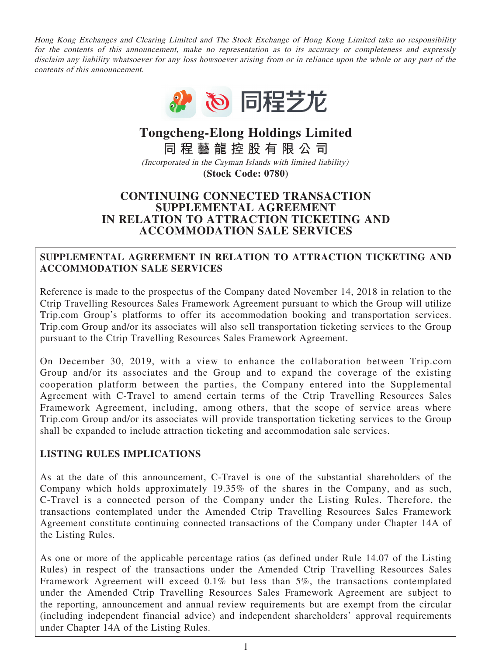Hong Kong Exchanges and Clearing Limited and The Stock Exchange of Hong Kong Limited take no responsibility for the contents of this announcement, make no representation as to its accuracy or completeness and expressly disclaim any liability whatsoever for any loss howsoever arising from or in reliance upon the whole or any part of the contents of this announcement.



## **Tongcheng-Elong Holdings Limited**

**同程藝龍控股有限公司**

(Incorporated in the Cayman Islands with limited liability) **(Stock Code: 0780)**

#### **CONTINUING CONNECTED TRANSACTION SUPPLEMENTAL AGREEMENT IN RELATION TO ATTRACTION TICKETING AND ACCOMMODATION SALE SERVICES**

#### **SUPPLEMENTAL AGREEMENT IN RELATION TO ATTRACTION TICKETING AND ACCOMMODATION SALE SERVICES**

Reference is made to the prospectus of the Company dated November 14, 2018 in relation to the Ctrip Travelling Resources Sales Framework Agreement pursuant to which the Group will utilize Trip.com Group's platforms to offer its accommodation booking and transportation services. Trip.com Group and/or its associates will also sell transportation ticketing services to the Group pursuant to the Ctrip Travelling Resources Sales Framework Agreement.

On December 30, 2019, with a view to enhance the collaboration between Trip.com Group and/or its associates and the Group and to expand the coverage of the existing cooperation platform between the parties, the Company entered into the Supplemental Agreement with C-Travel to amend certain terms of the Ctrip Travelling Resources Sales Framework Agreement, including, among others, that the scope of service areas where Trip.com Group and/or its associates will provide transportation ticketing services to the Group shall be expanded to include attraction ticketing and accommodation sale services.

### **LISTING RULES IMPLICATIONS**

As at the date of this announcement, C-Travel is one of the substantial shareholders of the Company which holds approximately 19.35% of the shares in the Company, and as such, C-Travel is a connected person of the Company under the Listing Rules. Therefore, the transactions contemplated under the Amended Ctrip Travelling Resources Sales Framework Agreement constitute continuing connected transactions of the Company under Chapter 14A of the Listing Rules.

As one or more of the applicable percentage ratios (as defined under Rule 14.07 of the Listing Rules) in respect of the transactions under the Amended Ctrip Travelling Resources Sales Framework Agreement will exceed 0.1% but less than 5%, the transactions contemplated under the Amended Ctrip Travelling Resources Sales Framework Agreement are subject to the reporting, announcement and annual review requirements but are exempt from the circular (including independent financial advice) and independent shareholders' approval requirements under Chapter 14A of the Listing Rules.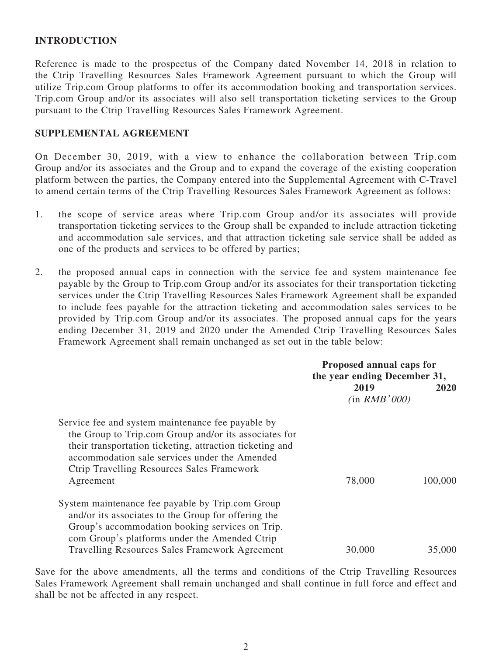#### **INTRODUCTION**

Reference is made to the prospectus of the Company dated November 14, 2018 in relation to the Ctrip Travelling Resources Sales Framework Agreement pursuant to which the Group will utilize Trip.com Group platforms to offer its accommodation booking and transportation services. Trip.com Group and/or its associates will also sell transportation ticketing services to the Group pursuant to the Ctrip Travelling Resources Sales Framework Agreement.

#### **SUPPLEMENTAL AGREEMENT**

On December 30, 2019, with a view to enhance the collaboration between Trip.com Group and/or its associates and the Group and to expand the coverage of the existing cooperation platform between the parties, the Company entered into the Supplemental Agreement with C-Travel to amend certain terms of the Ctrip Travelling Resources Sales Framework Agreement as follows:

- 1. the scope of service areas where Trip.com Group and/or its associates will provide transportation ticketing services to the Group shall be expanded to include attraction ticketing and accommodation sale services, and that attraction ticketing sale service shall be added as one of the products and services to be offered by parties;
- 2. the proposed annual caps in connection with the service fee and system maintenance fee payable by the Group to Trip.com Group and/or its associates for their transportation ticketing services under the Ctrip Travelling Resources Sales Framework Agreement shall be expanded to include fees payable for the attraction ticketing and accommodation sales services to be provided by Trip.com Group and/or its associates. The proposed annual caps for the years ending December 31, 2019 and 2020 under the Amended Ctrip Travelling Resources Sales Framework Agreement shall remain unchanged as set out in the table below:

|                                                                                                                                                                                                                                                                                           | Proposed annual caps for<br>the year ending December 31, |         |
|-------------------------------------------------------------------------------------------------------------------------------------------------------------------------------------------------------------------------------------------------------------------------------------------|----------------------------------------------------------|---------|
|                                                                                                                                                                                                                                                                                           | 2019<br>(in RMB'000)                                     | 2020    |
| Service fee and system maintenance fee payable by<br>the Group to Trip.com Group and/or its associates for<br>their transportation ticketing, attraction ticketing and<br>accommodation sale services under the Amended<br><b>Ctrip Travelling Resources Sales Framework</b><br>Agreement | 78,000                                                   | 100,000 |
| System maintenance fee payable by Trip.com Group<br>and/or its associates to the Group for offering the<br>Group's accommodation booking services on Trip.<br>com Group's platforms under the Amended Ctrip<br><b>Travelling Resources Sales Framework Agreement</b>                      | 30,000                                                   | 35,000  |

Save for the above amendments, all the terms and conditions of the Ctrip Travelling Resources Sales Framework Agreement shall remain unchanged and shall continue in full force and effect and shall be not be affected in any respect.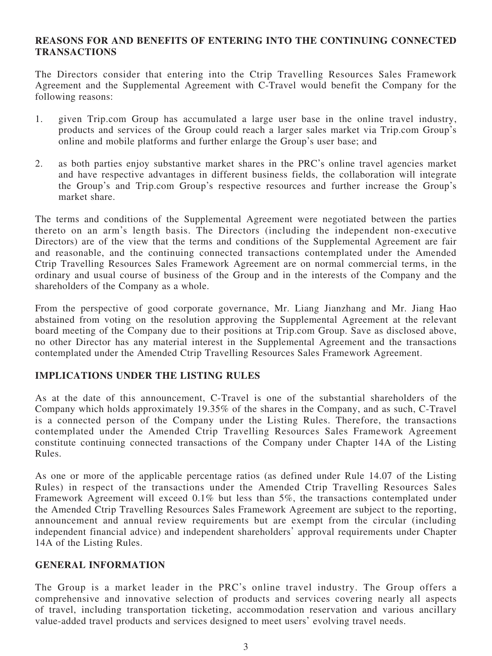#### **REASONS FOR AND BENEFITS OF ENTERING INTO THE CONTINUING CONNECTED TRANSACTIONS**

The Directors consider that entering into the Ctrip Travelling Resources Sales Framework Agreement and the Supplemental Agreement with C-Travel would benefit the Company for the following reasons:

- 1. given Trip.com Group has accumulated a large user base in the online travel industry, products and services of the Group could reach a larger sales market via Trip.com Group's online and mobile platforms and further enlarge the Group's user base; and
- 2. as both parties enjoy substantive market shares in the PRC's online travel agencies market and have respective advantages in different business fields, the collaboration will integrate the Group's and Trip.com Group's respective resources and further increase the Group's market share.

The terms and conditions of the Supplemental Agreement were negotiated between the parties thereto on an arm's length basis. The Directors (including the independent non-executive Directors) are of the view that the terms and conditions of the Supplemental Agreement are fair and reasonable, and the continuing connected transactions contemplated under the Amended Ctrip Travelling Resources Sales Framework Agreement are on normal commercial terms, in the ordinary and usual course of business of the Group and in the interests of the Company and the shareholders of the Company as a whole.

From the perspective of good corporate governance, Mr. Liang Jianzhang and Mr. Jiang Hao abstained from voting on the resolution approving the Supplemental Agreement at the relevant board meeting of the Company due to their positions at Trip.com Group. Save as disclosed above, no other Director has any material interest in the Supplemental Agreement and the transactions contemplated under the Amended Ctrip Travelling Resources Sales Framework Agreement.

#### **IMPLICATIONS UNDER THE LISTING RULES**

As at the date of this announcement, C-Travel is one of the substantial shareholders of the Company which holds approximately 19.35% of the shares in the Company, and as such, C-Travel is a connected person of the Company under the Listing Rules. Therefore, the transactions contemplated under the Amended Ctrip Travelling Resources Sales Framework Agreement constitute continuing connected transactions of the Company under Chapter 14A of the Listing Rules.

As one or more of the applicable percentage ratios (as defined under Rule 14.07 of the Listing Rules) in respect of the transactions under the Amended Ctrip Travelling Resources Sales Framework Agreement will exceed 0.1% but less than 5%, the transactions contemplated under the Amended Ctrip Travelling Resources Sales Framework Agreement are subject to the reporting, announcement and annual review requirements but are exempt from the circular (including independent financial advice) and independent shareholders' approval requirements under Chapter 14A of the Listing Rules.

#### **GENERAL INFORMATION**

The Group is a market leader in the PRC's online travel industry. The Group offers a comprehensive and innovative selection of products and services covering nearly all aspects of travel, including transportation ticketing, accommodation reservation and various ancillary value-added travel products and services designed to meet users' evolving travel needs.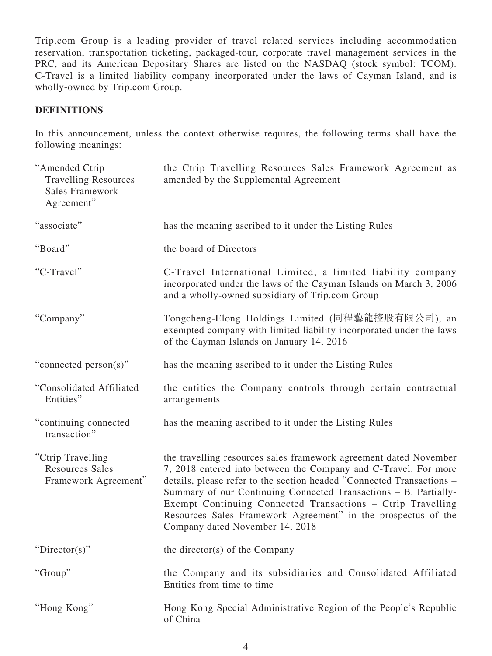Trip.com Group is a leading provider of travel related services including accommodation reservation, transportation ticketing, packaged-tour, corporate travel management services in the PRC, and its American Depositary Shares are listed on the NASDAQ (stock symbol: TCOM). C-Travel is a limited liability company incorporated under the laws of Cayman Island, and is wholly-owned by Trip.com Group.

#### **DEFINITIONS**

In this announcement, unless the context otherwise requires, the following terms shall have the following meanings:

| "Amended Ctrip<br><b>Travelling Resources</b><br><b>Sales Framework</b><br>Agreement" | the Ctrip Travelling Resources Sales Framework Agreement as<br>amended by the Supplemental Agreement                                                                                                                                                                                                                                                                                                                                                 |
|---------------------------------------------------------------------------------------|------------------------------------------------------------------------------------------------------------------------------------------------------------------------------------------------------------------------------------------------------------------------------------------------------------------------------------------------------------------------------------------------------------------------------------------------------|
| "associate"                                                                           | has the meaning ascribed to it under the Listing Rules                                                                                                                                                                                                                                                                                                                                                                                               |
| "Board"                                                                               | the board of Directors                                                                                                                                                                                                                                                                                                                                                                                                                               |
| "C-Travel"                                                                            | C-Travel International Limited, a limited liability company<br>incorporated under the laws of the Cayman Islands on March 3, 2006<br>and a wholly-owned subsidiary of Trip.com Group                                                                                                                                                                                                                                                                 |
| "Company"                                                                             | Tongcheng-Elong Holdings Limited (同程藝龍控股有限公司), an<br>exempted company with limited liability incorporated under the laws<br>of the Cayman Islands on January 14, 2016                                                                                                                                                                                                                                                                                |
| "connected person(s)"                                                                 | has the meaning ascribed to it under the Listing Rules                                                                                                                                                                                                                                                                                                                                                                                               |
| "Consolidated Affiliated<br>Entities"                                                 | the entities the Company controls through certain contractual<br>arrangements                                                                                                                                                                                                                                                                                                                                                                        |
| "continuing connected<br>transaction"                                                 | has the meaning ascribed to it under the Listing Rules                                                                                                                                                                                                                                                                                                                                                                                               |
| "Ctrip Travelling"<br><b>Resources Sales</b><br>Framework Agreement"                  | the travelling resources sales framework agreement dated November<br>7, 2018 entered into between the Company and C-Travel. For more<br>details, please refer to the section headed "Connected Transactions -<br>Summary of our Continuing Connected Transactions - B. Partially-<br>Exempt Continuing Connected Transactions - Ctrip Travelling<br>Resources Sales Framework Agreement" in the prospectus of the<br>Company dated November 14, 2018 |
| " $Directory$ "                                                                       | the director(s) of the Company                                                                                                                                                                                                                                                                                                                                                                                                                       |
| "Group"                                                                               | the Company and its subsidiaries and Consolidated Affiliated<br>Entities from time to time                                                                                                                                                                                                                                                                                                                                                           |
| "Hong Kong"                                                                           | Hong Kong Special Administrative Region of the People's Republic<br>of China                                                                                                                                                                                                                                                                                                                                                                         |